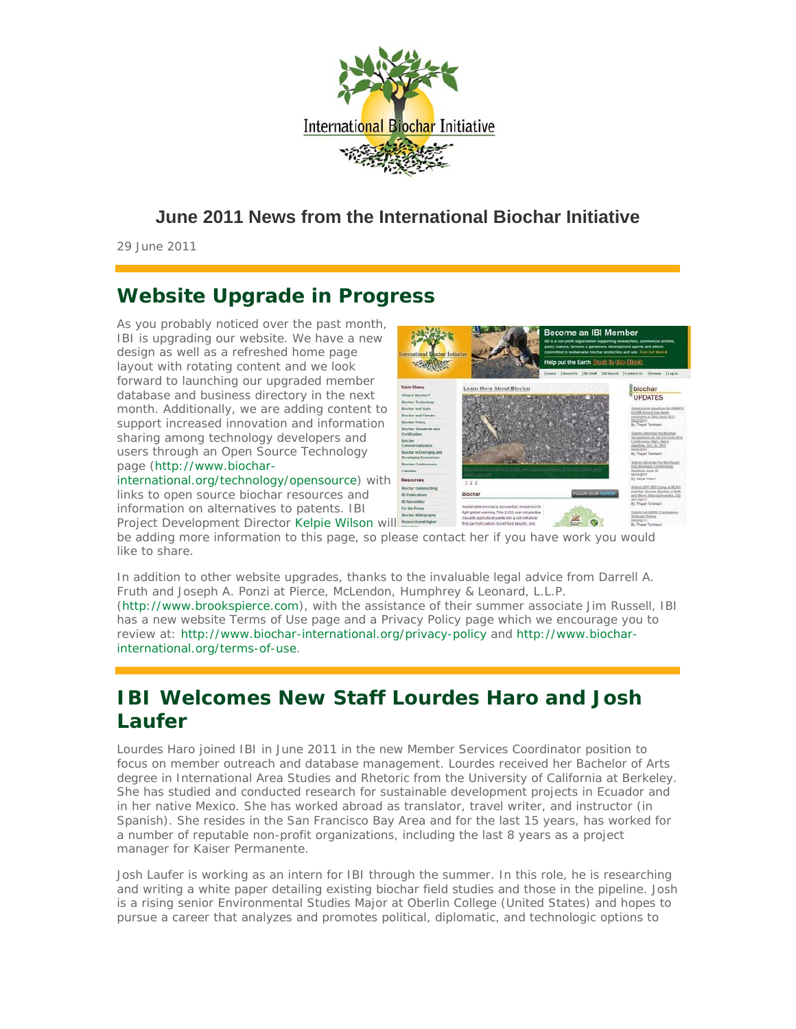

### **June 2011 News from the International Biochar Initiative**

29 June 2011

# **Website Upgrade in Progress**

As you probably noticed over the past month, IBI is upgrading our website. We have a new design as well as a refreshed home page layout with rotating content and we look forward to launching our upgraded member database and business directory in the next month. Additionally, we are adding content to support increased innovation and information sharing among technology developers and users through an Open Source Technology page (http://www.biochar-

international.org/technology/opensource) with links to open source biochar resources and information on alternatives to patents. IBI Project Development Director Kelpie Wilson will

international.org/terms-of-use.



be adding more information to this page, so please contact her if you have work you would like to share.

In addition to other website upgrades, thanks to the invaluable legal advice from Darrell A. Fruth and Joseph A. Ponzi at Pierce, McLendon, Humphrey & Leonard, L.L.P. (http://www.brookspierce.com), with the assistance of their summer associate Jim Russell, IBI has a new website Terms of Use page and a Privacy Policy page which we encourage you to review at: http://www.biochar-international.org/privacy-policy and http://www.biochar-

# **IBI Welcomes New Staff Lourdes Haro and Josh Laufer**

Lourdes Haro joined IBI in June 2011 in the new Member Services Coordinator position to focus on member outreach and database management. Lourdes received her Bachelor of Arts degree in International Area Studies and Rhetoric from the University of California at Berkeley. She has studied and conducted research for sustainable development projects in Ecuador and in her native Mexico. She has worked abroad as translator, travel writer, and instructor (in Spanish). She resides in the San Francisco Bay Area and for the last 15 years, has worked for a number of reputable non-profit organizations, including the last 8 years as a project manager for Kaiser Permanente.

Josh Laufer is working as an intern for IBI through the summer. In this role, he is researching and writing a white paper detailing existing biochar field studies and those in the pipeline. Josh is a rising senior Environmental Studies Major at Oberlin College (United States) and hopes to pursue a career that analyzes and promotes political, diplomatic, and technologic options to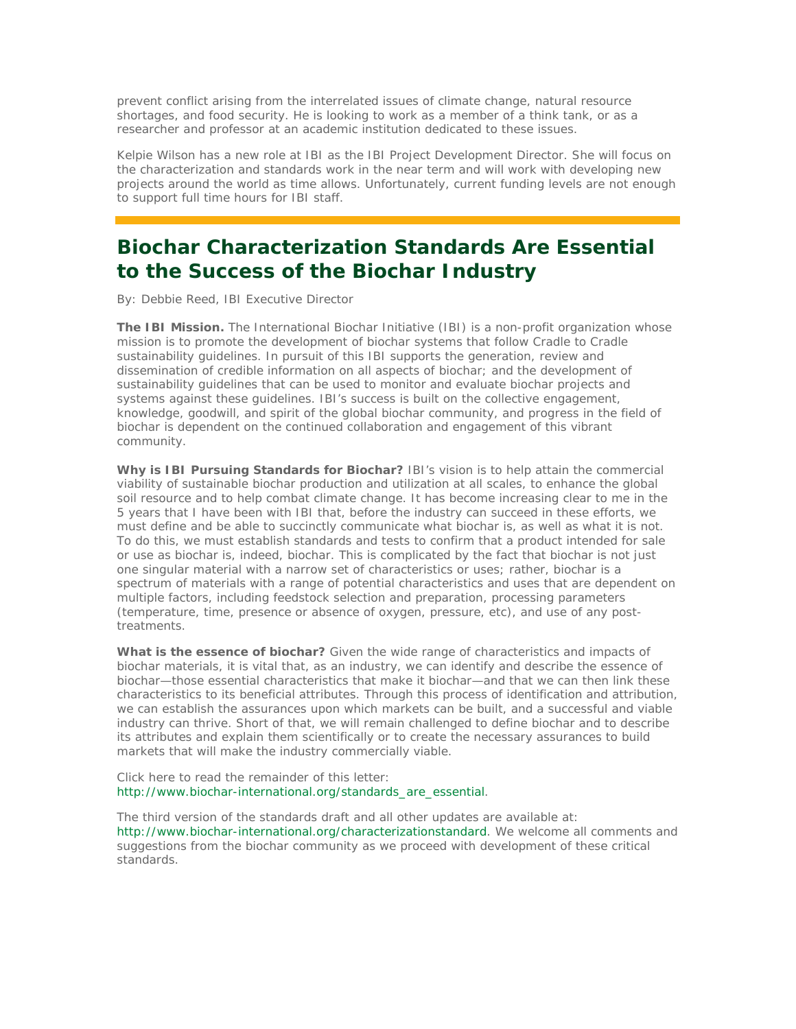prevent conflict arising from the interrelated issues of climate change, natural resource shortages, and food security. He is looking to work as a member of a think tank, or as a researcher and professor at an academic institution dedicated to these issues.

Kelpie Wilson has a new role at IBI as the IBI Project Development Director. She will focus on the characterization and standards work in the near term and will work with developing new projects around the world as time allows. Unfortunately, current funding levels are not enough to support full time hours for IBI staff.

## **Biochar Characterization Standards Are Essential to the Success of the Biochar Industry**

By: Debbie Reed, IBI Executive Director

The IBI Mission. The International Biochar Initiative (IBI) is a non-profit organization whose mission is to promote the development of biochar systems that follow Cradle to Cradle sustainability guidelines. In pursuit of this IBI supports the generation, review and dissemination of credible information on all aspects of biochar; and the development of sustainability guidelines that can be used to monitor and evaluate biochar projects and systems against these guidelines. IBI's success is built on the collective engagement, knowledge, goodwill, and spirit of the global biochar community, and progress in the field of biochar is dependent on the continued collaboration and engagement of this vibrant community.

**Why is IBI Pursuing Standards for Biochar?** IBI's vision is to help attain the commercial viability of sustainable biochar production and utilization at all scales, to enhance the global soil resource and to help combat climate change. It has become increasing clear to me in the 5 years that I have been with IBI that, before the industry can succeed in these efforts, we must define and be able to succinctly communicate what biochar is, as well as what it is not. To do this, we must establish standards and tests to confirm that a product intended for sale or use as biochar is, indeed, biochar. This is complicated by the fact that biochar is not just one singular material with a narrow set of characteristics or uses; rather, biochar is a spectrum of materials with a range of potential characteristics and uses that are dependent on multiple factors, including feedstock selection and preparation, processing parameters (temperature, time, presence or absence of oxygen, pressure, etc), and use of any posttreatments.

**What is the essence of biochar?** Given the wide range of characteristics and impacts of biochar materials, it is vital that, as an industry, we can identify and describe the essence of biochar—those essential characteristics that make it biochar—and that we can then link these characteristics to its beneficial attributes. Through this process of identification and attribution, we can establish the assurances upon which markets can be built, and a successful and viable industry can thrive. Short of that, we will remain challenged to define biochar and to describe its attributes and explain them scientifically or to create the necessary assurances to build markets that will make the industry commercially viable.

Click here to read the remainder of this letter: http://www.biochar-international.org/standards\_are\_essential.

The third version of the standards draft and all other updates are available at: http://www.biochar-international.org/characterizationstandard. We welcome all comments and suggestions from the biochar community as we proceed with development of these critical standards.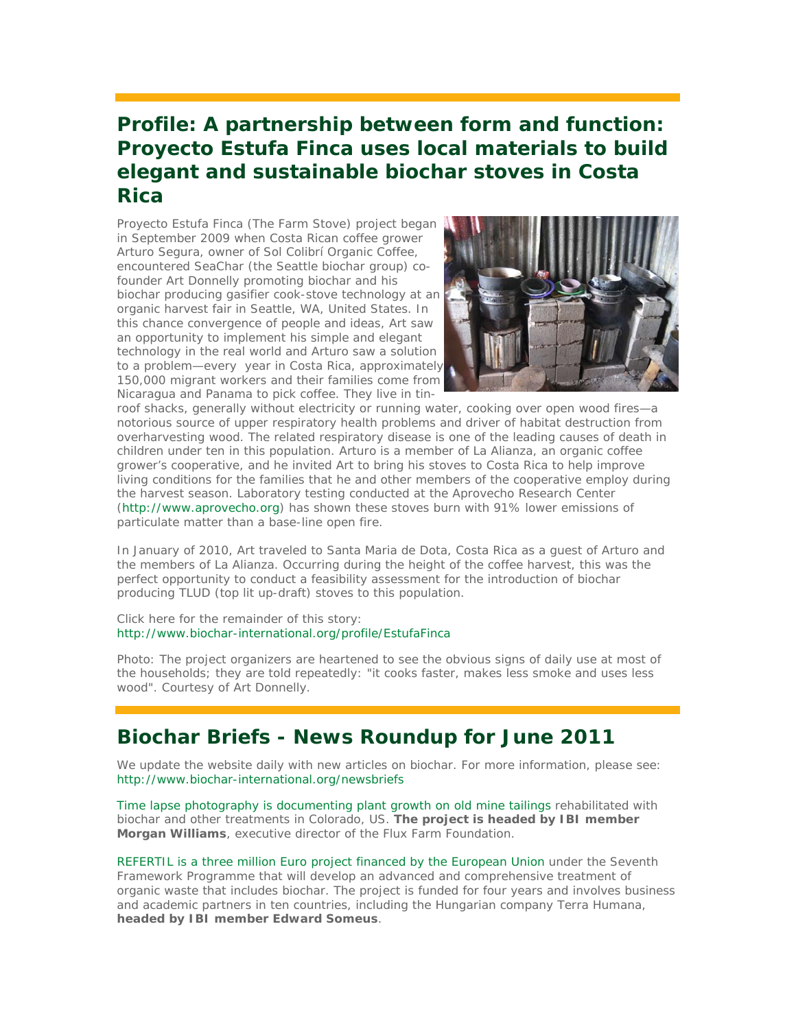## **Profile: A partnership between form and function: Proyecto Estufa Finca uses local materials to build elegant and sustainable biochar stoves in Costa Rica**

Proyecto Estufa Finca (The Farm Stove) project began in September 2009 when Costa Rican coffee grower Arturo Segura, owner of Sol Colibrí Organic Coffee, encountered SeaChar (the Seattle biochar group) cofounder Art Donnelly promoting biochar and his biochar producing gasifier cook-stove technology at an organic harvest fair in Seattle, WA, United States. In this chance convergence of people and ideas, Art saw an opportunity to implement his simple and elegant technology in the real world and Arturo saw a solution to a problem—every year in Costa Rica, approximately 150,000 migrant workers and their families come from Nicaragua and Panama to pick coffee. They live in tin-



roof shacks, generally without electricity or running water, cooking over open wood fires—a notorious source of upper respiratory health problems and driver of habitat destruction from overharvesting wood. The related respiratory disease is one of the leading causes of death in children under ten in this population. Arturo is a member of La Alianza, an organic coffee grower's cooperative, and he invited Art to bring his stoves to Costa Rica to help improve living conditions for the families that he and other members of the cooperative employ during the harvest season. Laboratory testing conducted at the Aprovecho Research Center (http://www.aprovecho.org) has shown these stoves burn with 91% lower emissions of particulate matter than a base-line open fire.

In January of 2010, Art traveled to Santa Maria de Dota, Costa Rica as a guest of Arturo and the members of La Alianza. Occurring during the height of the coffee harvest, this was the perfect opportunity to conduct a feasibility assessment for the introduction of biochar producing TLUD (top lit up-draft) stoves to this population.

Click here for the remainder of this story: http://www.biochar-international.org/profile/EstufaFinca

Photo: The project organizers are heartened to see the obvious signs of daily use at most of the households; they are told repeatedly: "it cooks faster, makes less smoke and uses less wood". Courtesy of Art Donnelly.

### **Biochar Briefs - News Roundup for June 2011**

We update the website daily with new articles on biochar. For more information, please see: http://www.biochar-international.org/newsbriefs

Time lapse photography is documenting plant growth on old mine tailings rehabilitated with biochar and other treatments in Colorado, US. **The project is headed by IBI member Morgan Williams**, executive director of the Flux Farm Foundation.

REFERTIL is a three million Euro project financed by the European Union under the Seventh Framework Programme that will develop an advanced and comprehensive treatment of organic waste that includes biochar. The project is funded for four years and involves business and academic partners in ten countries, including the Hungarian company Terra Humana, **headed by IBI member Edward Someus**.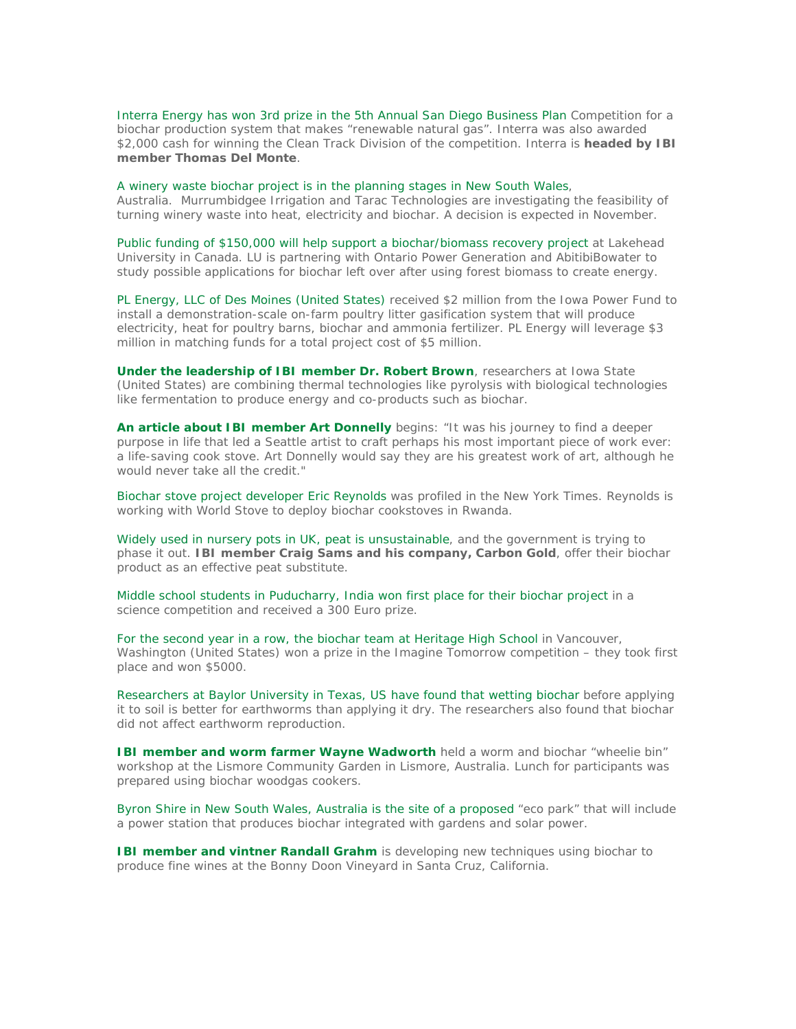Interra Energy has won 3rd prize in the 5th Annual San Diego Business Plan Competition for a biochar production system that makes "renewable natural gas". Interra was also awarded \$2,000 cash for winning the Clean Track Division of the competition. Interra is **headed by IBI member Thomas Del Monte**.

#### A winery waste biochar project is in the planning stages in New South Wales,

Australia. Murrumbidgee Irrigation and Tarac Technologies are investigating the feasibility of turning winery waste into heat, electricity and biochar. A decision is expected in November.

Public funding of \$150,000 will help support a biochar/biomass recovery project at Lakehead University in Canada. LU is partnering with Ontario Power Generation and AbitibiBowater to study possible applications for biochar left over after using forest biomass to create energy.

PL Energy, LLC of Des Moines (United States) received \$2 million from the Iowa Power Fund to install a demonstration-scale on-farm poultry litter gasification system that will produce electricity, heat for poultry barns, biochar and ammonia fertilizer. PL Energy will leverage \$3 million in matching funds for a total project cost of \$5 million.

**Under the leadership of IBI member Dr. Robert Brown**, researchers at Iowa State (United States) are combining thermal technologies like pyrolysis with biological technologies like fermentation to produce energy and co-products such as biochar.

**An article about IBI member Art Donnelly** begins: "It was his journey to find a deeper purpose in life that led a Seattle artist to craft perhaps his most important piece of work ever: a life-saving cook stove. Art Donnelly would say they are his greatest work of art, although he would never take all the credit."

Biochar stove project developer Eric Reynolds was profiled in the New York Times. Reynolds is working with World Stove to deploy biochar cookstoves in Rwanda.

Widely used in nursery pots in UK, peat is unsustainable, and the government is trying to phase it out. **IBI member Craig Sams and his company, Carbon Gold**, offer their biochar product as an effective peat substitute.

Middle school students in Puducharry, India won first place for their biochar project in a science competition and received a 300 Euro prize.

For the second year in a row, the biochar team at Heritage High School in Vancouver, Washington (United States) won a prize in the Imagine Tomorrow competition – they took first place and won \$5000.

Researchers at Baylor University in Texas, US have found that wetting biochar before applying it to soil is better for earthworms than applying it dry. The researchers also found that biochar did not affect earthworm reproduction.

**IBI member and worm farmer Wayne Wadworth** held a worm and biochar "wheelie bin" workshop at the Lismore Community Garden in Lismore, Australia. Lunch for participants was prepared using biochar woodgas cookers.

Byron Shire in New South Wales, Australia is the site of a proposed "eco park" that will include a power station that produces biochar integrated with gardens and solar power.

**IBI member and vintner Randall Grahm** is developing new techniques using biochar to produce fine wines at the Bonny Doon Vineyard in Santa Cruz, California.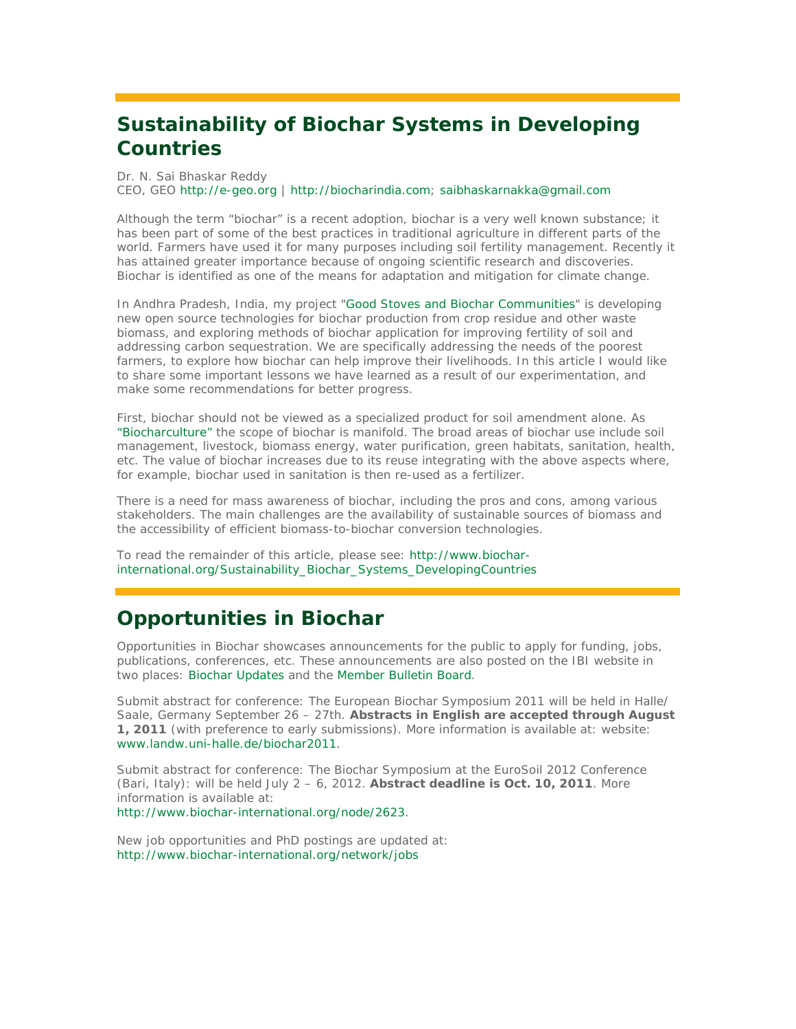# **Sustainability of Biochar Systems in Developing Countries**

Dr. N. Sai Bhaskar Reddy

CEO, GEO http://e-geo.org | http://biocharindia.com; saibhaskarnakka@gmail.com

Although the term "biochar" is a recent adoption, biochar is a very well known substance; it has been part of some of the best practices in traditional agriculture in different parts of the world. Farmers have used it for many purposes including soil fertility management. Recently it has attained greater importance because of ongoing scientific research and discoveries. Biochar is identified as one of the means for adaptation and mitigation for climate change.

In Andhra Pradesh, India, my project "Good Stoves and Biochar Communities" is developing new open source technologies for biochar production from crop residue and other waste biomass, and exploring methods of biochar application for improving fertility of soil and addressing carbon sequestration. We are specifically addressing the needs of the poorest farmers, to explore how biochar can help improve their livelihoods. In this article I would like to share some important lessons we have learned as a result of our experimentation, and make some recommendations for better progress.

First, biochar should not be viewed as a specialized product for soil amendment alone. As "Biocharculture" the scope of biochar is manifold. The broad areas of biochar use include soil management, livestock, biomass energy, water purification, green habitats, sanitation, health, etc. The value of biochar increases due to its reuse integrating with the above aspects where, for example, biochar used in sanitation is then re-used as a fertilizer.

There is a need for mass awareness of biochar, including the pros and cons, among various stakeholders. The main challenges are the availability of sustainable sources of biomass and the accessibility of efficient biomass-to-biochar conversion technologies.

To read the remainder of this article, please see: http://www.biocharinternational.org/Sustainability\_Biochar\_Systems\_DevelopingCountries

### **Opportunities in Biochar**

*Opportunities in Biochar* showcases announcements for the public to apply for funding, jobs, publications, conferences, etc. These announcements are also posted on the IBI website in two places: Biochar Updates and the Member Bulletin Board.

*Submit abstract for conference*: The European Biochar Symposium 2011 will be held in Halle/ Saale, Germany September 26 – 27th. **Abstracts in English are accepted through August 1, 2011** (with preference to early submissions). More information is available at: website: www.landw.uni-halle.de/biochar2011.

*Submit abstract for conference*: The Biochar Symposium at the EuroSoil 2012 Conference (Bari, Italy): will be held July 2 – 6, 2012. **Abstract deadline is Oct. 10, 2011**. More information is available at:

http://www.biochar-international.org/node/2623.

New job opportunities and PhD postings are updated at: http://www.biochar-international.org/network/jobs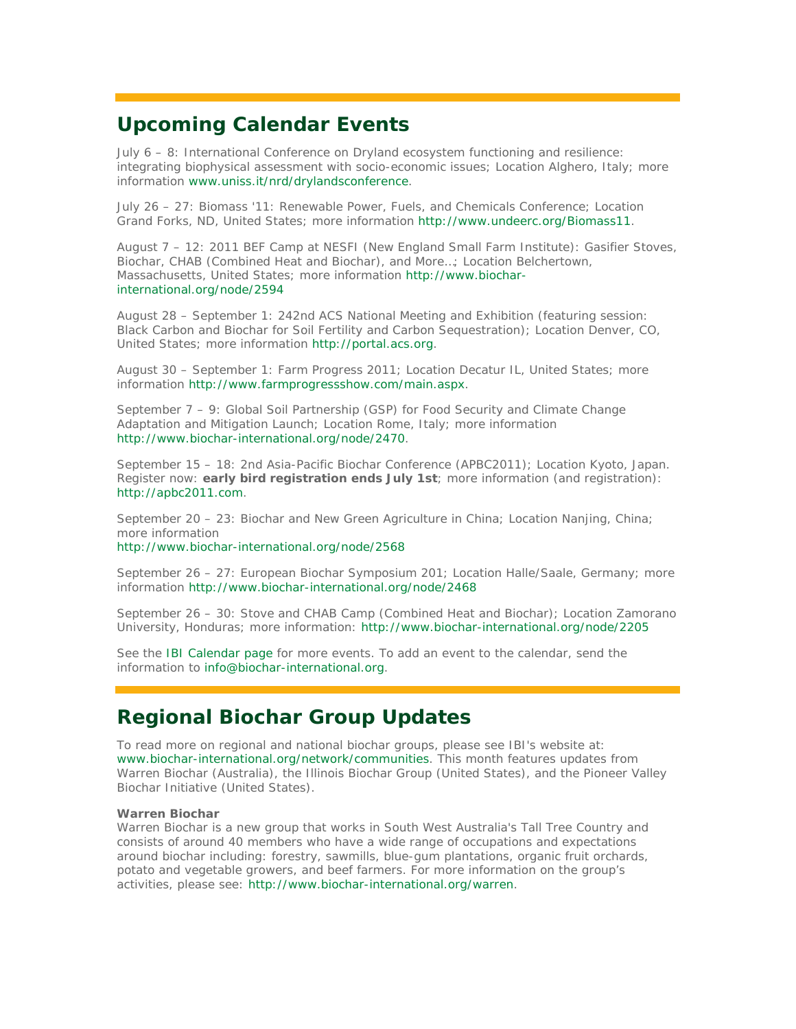## **Upcoming Calendar Events**

July 6 – 8: International Conference on Dryland ecosystem functioning and resilience: integrating biophysical assessment with socio-economic issues; Location Alghero, Italy; more information www.uniss.it/nrd/drylandsconference.

July 26 – 27: Biomass '11: Renewable Power, Fuels, and Chemicals Conference; Location Grand Forks, ND, United States; more information http://www.undeerc.org/Biomass11.

August 7 – 12: 2011 BEF Camp at NESFI (New England Small Farm Institute): Gasifier Stoves, Biochar, CHAB (Combined Heat and Biochar), and More…; Location Belchertown, Massachusetts, United States; more information http://www.biocharinternational.org/node/2594

August 28 – September 1: 242nd ACS National Meeting and Exhibition (featuring session: Black Carbon and Biochar for Soil Fertility and Carbon Sequestration); Location Denver, CO, United States; more information http://portal.acs.org.

August 30 – September 1: Farm Progress 2011; Location Decatur IL, United States; more information http://www.farmprogressshow.com/main.aspx.

September 7 – 9: Global Soil Partnership (GSP) for Food Security and Climate Change Adaptation and Mitigation Launch; Location Rome, Italy; more information http://www.biochar-international.org/node/2470.

September 15 – 18: 2nd Asia-Pacific Biochar Conference (APBC2011); Location Kyoto, Japan. Register now: **early bird registration ends July 1st**; more information (and registration): http://apbc2011.com.

September 20 – 23: Biochar and New Green Agriculture in China; Location Nanjing, China; more information

http://www.biochar-international.org/node/2568

September 26 – 27: European Biochar Symposium 201; Location Halle/Saale, Germany; more information http://www.biochar-international.org/node/2468

September 26 – 30: Stove and CHAB Camp (Combined Heat and Biochar); Location Zamorano University, Honduras; more information: http://www.biochar-international.org/node/2205

See the IBI Calendar page for more events. To add an event to the calendar, send the information to info@biochar-international.org.

### **Regional Biochar Group Updates**

To read more on regional and national biochar groups, please see IBI's website at: www.biochar-international.org/network/communities. This month features updates from Warren Biochar (Australia), the Illinois Biochar Group (United States), and the Pioneer Valley Biochar Initiative (United States).

#### **Warren Biochar**

Warren Biochar is a new group that works in South West Australia's Tall Tree Country and consists of around 40 members who have a wide range of occupations and expectations around biochar including: forestry, sawmills, blue-gum plantations, organic fruit orchards, potato and vegetable growers, and beef farmers. For more information on the group's activities, please see: http://www.biochar-international.org/warren.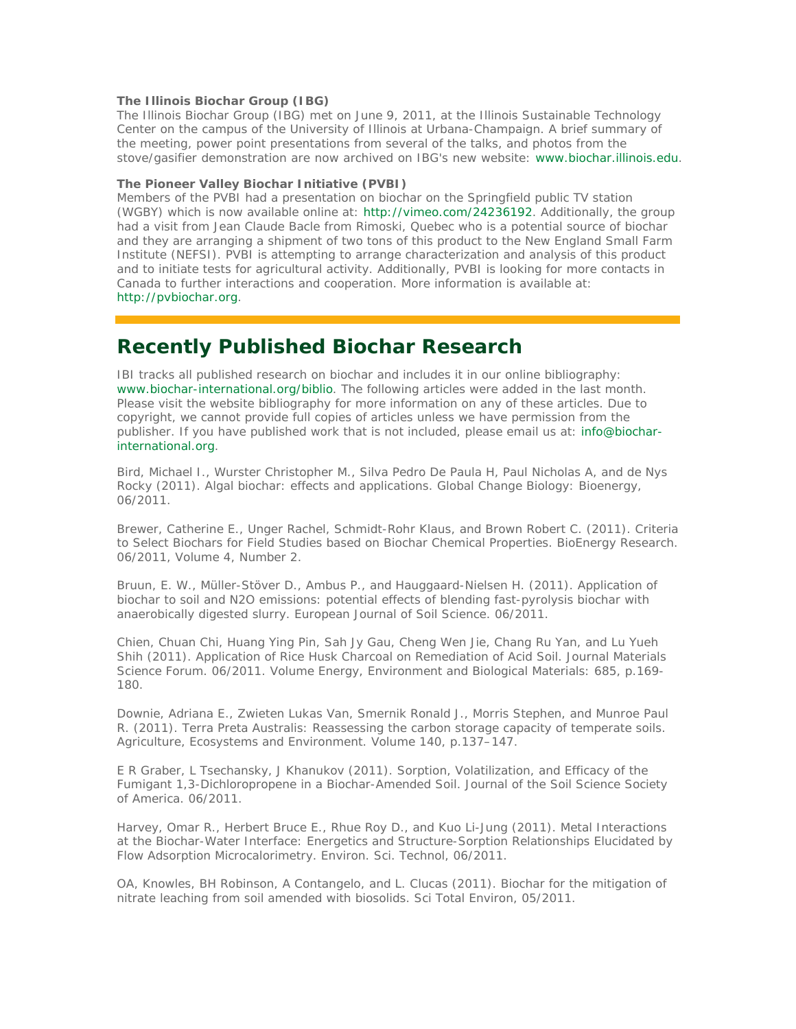#### **The Illinois Biochar Group (IBG)**

The Illinois Biochar Group (IBG) met on June 9, 2011, at the Illinois Sustainable Technology Center on the campus of the University of Illinois at Urbana-Champaign. A brief summary of the meeting, power point presentations from several of the talks, and photos from the stove/gasifier demonstration are now archived on IBG's new website: www.biochar.illinois.edu.

#### **The Pioneer Valley Biochar Initiative (PVBI)**

Members of the PVBI had a presentation on biochar on the Springfield public TV station (WGBY) which is now available online at: http://vimeo.com/24236192. Additionally, the group had a visit from Jean Claude Bacle from Rimoski, Quebec who is a potential source of biochar and they are arranging a shipment of two tons of this product to the New England Small Farm Institute (NEFSI). PVBI is attempting to arrange characterization and analysis of this product and to initiate tests for agricultural activity. Additionally, PVBI is looking for more contacts in Canada to further interactions and cooperation. More information is available at: http://pvbiochar.org.

### **Recently Published Biochar Research**

IBI tracks all published research on biochar and includes it in our online bibliography: www.biochar-international.org/biblio. The following articles were added in the last month. Please visit the website bibliography for more information on any of these articles. Due to copyright, we cannot provide full copies of articles unless we have permission from the publisher. If you have published work that is not included, please email us at: info@biocharinternational.org.

Bird, Michael I., Wurster Christopher M., Silva Pedro De Paula H, Paul Nicholas A, and de Nys Rocky (2011). Algal biochar: effects and applications. Global Change Biology: Bioenergy, 06/2011.

Brewer, Catherine E., Unger Rachel, Schmidt-Rohr Klaus, and Brown Robert C. (2011). Criteria to Select Biochars for Field Studies based on Biochar Chemical Properties. BioEnergy Research. 06/2011, Volume 4, Number 2.

Bruun, E. W., Müller-Stöver D., Ambus P., and Hauggaard-Nielsen H. (2011). Application of biochar to soil and N2O emissions: potential effects of blending fast-pyrolysis biochar with anaerobically digested slurry. European Journal of Soil Science. 06/2011.

Chien, Chuan Chi, Huang Ying Pin, Sah Jy Gau, Cheng Wen Jie, Chang Ru Yan, and Lu Yueh Shih (2011). Application of Rice Husk Charcoal on Remediation of Acid Soil. Journal Materials Science Forum. 06/2011. Volume Energy, Environment and Biological Materials: 685, p.169- 180.

Downie, Adriana E., Zwieten Lukas Van, Smernik Ronald J., Morris Stephen, and Munroe Paul R. (2011). Terra Preta Australis: Reassessing the carbon storage capacity of temperate soils. Agriculture, Ecosystems and Environment. Volume 140, p.137–147.

E R Graber, L Tsechansky, J Khanukov (2011). Sorption, Volatilization, and Efficacy of the Fumigant 1,3-Dichloropropene in a Biochar-Amended Soil. Journal of the Soil Science Society of America. 06/2011.

Harvey, Omar R., Herbert Bruce E., Rhue Roy D., and Kuo Li-Jung (2011). Metal Interactions at the Biochar-Water Interface: Energetics and Structure-Sorption Relationships Elucidated by Flow Adsorption Microcalorimetry. Environ. Sci. Technol, 06/2011.

OA, Knowles, BH Robinson, A Contangelo, and L. Clucas (2011). Biochar for the mitigation of nitrate leaching from soil amended with biosolids. Sci Total Environ, 05/2011.